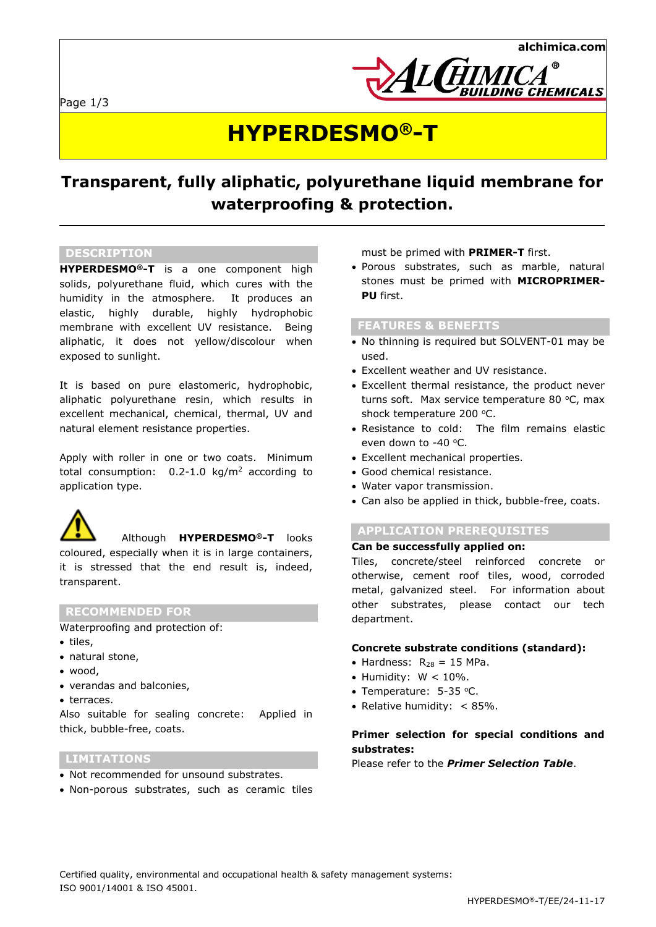



# **HYPERDESMO®-T**

# **Transparent, fully aliphatic, polyurethane liquid membrane for waterproofing & protection.**

# **DESCRIPTION**

**HYPERDESMO®-T** is a one component high solids, polyurethane fluid, which cures with the humidity in the atmosphere. It produces an elastic, highly durable, highly hydrophobic membrane with excellent UV resistance. Being aliphatic, it does not yellow/discolour when exposed to sunlight.

It is based on pure elastomeric, hydrophobic, aliphatic polyurethane resin, which results in excellent mechanical, chemical, thermal, UV and natural element resistance properties.

Apply with roller in one or two coats. Minimum total consumption:  $0.2-1.0 \text{ kg/m}^2$  according to application type.



Although **HYPERDESMO®-T** looks

coloured, especially when it is in large containers, it is stressed that the end result is, indeed, transparent.

# **RECOMMENDED FOR**

Waterproofing and protection of:

- tiles,
- natural stone,
- wood,
- verandas and balconies,
- terraces.

Also suitable for sealing concrete: Applied in thick, bubble-free, coats.

### **LIMITATIONS**

- Not recommended for unsound substrates.
- Non-porous substrates, such as ceramic tiles

must be primed with **PRIMER-T** first.

 Porous substrates, such as marble, natural stones must be primed with **MICROPRIMER-PU** first.

#### **FEATURES & BENEFITS**

- No thinning is required but SOLVENT-01 may be used.
- Excellent weather and UV resistance.
- Excellent thermal resistance, the product never turns soft. Max service temperature 80  $°C$ , max shock temperature 200 °C.
- Resistance to cold: The film remains elastic even down to -40 °C.
- Excellent mechanical properties.
- Good chemical resistance.
- Water vapor transmission.
- Can also be applied in thick, bubble-free, coats.

# **APPLICATION PREREQUISITES**

#### **Can be successfully applied on:**

Tiles, concrete/steel reinforced concrete or otherwise, cement roof tiles, wood, corroded metal, galvanized steel. For information about other substrates, please contact our tech department.

#### **Concrete substrate conditions (standard):**

- Hardness:  $R_{28} = 15$  MPa.
- $\bullet$  Humidity:  $W < 10\%$ .
- Temperature: 5-35 °C.
- Relative humidity:< 85%.

# **Primer selection for special conditions and substrates:**

Please refer to the *Primer Selection Table*.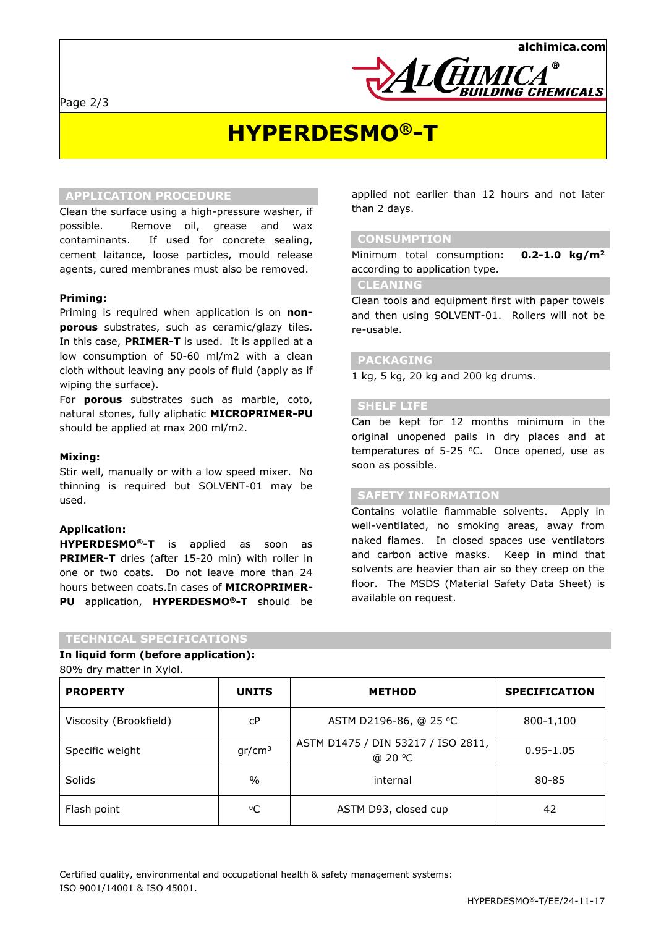Page 2/3





# **HYPERDESMO®-T**

# **APPLICATION PROCEDURE**

Clean the surface using a high-pressure washer, if possible. Remove oil, grease and wax contaminants. If used for concrete sealing, cement laitance, loose particles, mould release agents, cured membranes must also be removed.

#### **Priming:**

Priming is required when application is on **nonporous** substrates, such as ceramic/glazy tiles. In this case, **PRIMER-T** is used. It is applied at a low consumption of 50-60 ml/m2 with a clean cloth without leaving any pools of fluid (apply as if wiping the surface).

For **porous** substrates such as marble, coto, natural stones, fully aliphatic **MICROPRIMER-PU**  should be applied at max 200 ml/m2.

#### **Mixing:**

Stir well, manually or with a low speed mixer. No thinning is required but SOLVENT-01 may be used.

#### **Application:**

**HYPERDESMO®-T** is applied as soon as **PRIMER-T** dries (after 15-20 min) with roller in one or two coats. Do not leave more than 24 hours between coats.In cases of **MICROPRIMER-PU** application, **HYPERDESMO®-T** should be

#### **TECHNICAL SPECIFICATIONS**

**In liquid form (before application):**

80% dry matter in Xylol.

| <b>PROPERTY</b>        | <b>UNITS</b>       | <b>METHOD</b>                                 | <b>SPECIFICATION</b> |
|------------------------|--------------------|-----------------------------------------------|----------------------|
| Viscosity (Brookfield) | сP                 | ASTM D2196-86, @ 25 °C                        | 800-1,100            |
| Specific weight        | gr/cm <sup>3</sup> | ASTM D1475 / DIN 53217 / ISO 2811,<br>@ 20 °C | $0.95 - 1.05$        |
| Solids                 | $\%$               | internal                                      | 80-85                |
| Flash point            | °C                 | ASTM D93, closed cup                          | 42                   |

applied not earlier than 12 hours and not later than 2 days.

# **CONSUMPTION**

Minimum total consumption: **0.2-1.0 kg/m<sup>2</sup>** according to application type.

# **CLEANING**

Clean tools and equipment first with paper towels and then using SOLVENT-01. Rollers will not be re-usable.

# **PACKAGING**

1 kg, 5 kg, 20 kg and 200 kg drums.

### **SHELF LIFE**

Can be kept for 12 months minimum in the original unopened pails in dry places and at temperatures of 5-25  $°C$ . Once opened, use as soon as possible.

### **SAFETY INFORMATION**

Contains volatile flammable solvents. Apply in well-ventilated, no smoking areas, away from naked flames. In closed spaces use ventilators and carbon active masks. Keep in mind that solvents are heavier than air so they creep on the floor. The MSDS (Material Safety Data Sheet) is available on request.